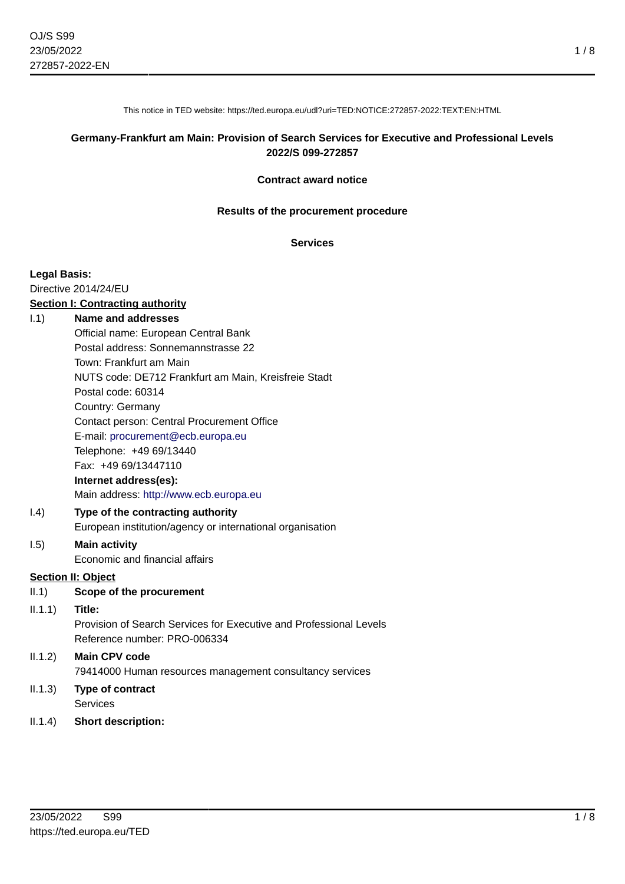This notice in TED website: https://ted.europa.eu/udl?uri=TED:NOTICE:272857-2022:TEXT:EN:HTML

#### **Germany-Frankfurt am Main: Provision of Search Services for Executive and Professional Levels 2022/S 099-272857**

#### **Contract award notice**

#### **Results of the procurement procedure**

#### **Services**

#### **Legal Basis:**

Directive 2014/24/EU

#### **Section I: Contracting authority**

#### I.1) **Name and addresses**

Official name: European Central Bank Postal address: Sonnemannstrasse 22 Town: Frankfurt am Main NUTS code: DE712 Frankfurt am Main, Kreisfreie Stadt Postal code: 60314 Country: Germany Contact person: Central Procurement Office E-mail: [procurement@ecb.europa.eu](mailto:procurement@ecb.europa.eu) Telephone: +49 69/13440 Fax: +49 69/13447110 **Internet address(es):** Main address:<http://www.ecb.europa.eu> I.4) **Type of the contracting authority** European institution/agency or international organisation

#### I.5) **Main activity**

Economic and financial affairs

#### **Section II: Object**

- II.1) **Scope of the procurement**
- II.1.1) **Title:**

Provision of Search Services for Executive and Professional Levels Reference number: PRO-006334

# II.1.2) **Main CPV code** 79414000 Human resources management consultancy services

- II.1.3) **Type of contract Services**
- II.1.4) **Short description:**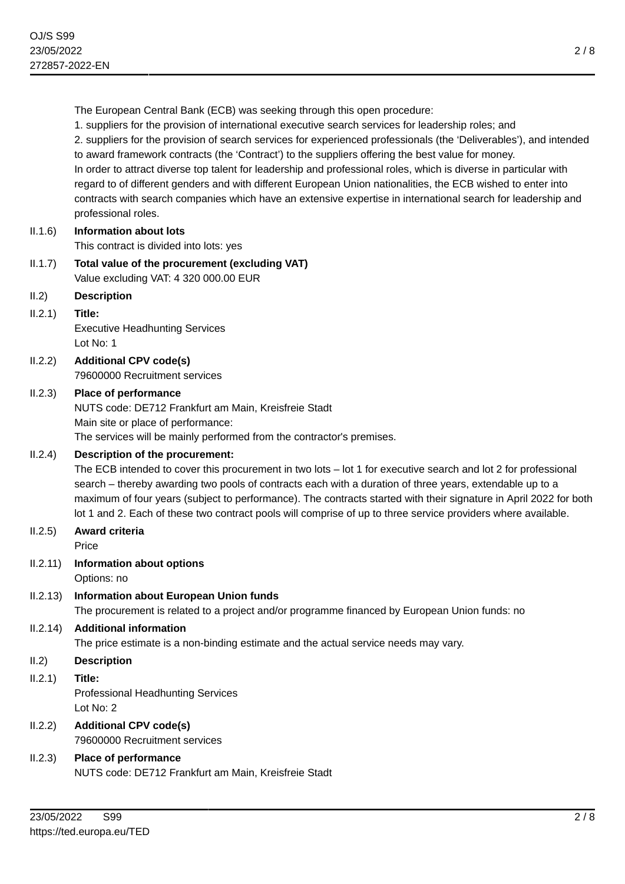The European Central Bank (ECB) was seeking through this open procedure:

1. suppliers for the provision of international executive search services for leadership roles; and

2. suppliers for the provision of search services for experienced professionals (the 'Deliverables'), and intended to award framework contracts (the 'Contract') to the suppliers offering the best value for money. In order to attract diverse top talent for leadership and professional roles, which is diverse in particular with regard to of different genders and with different European Union nationalities, the ECB wished to enter into contracts with search companies which have an extensive expertise in international search for leadership and professional roles.

- II.1.6) **Information about lots** This contract is divided into lots: yes
- II.1.7) **Total value of the procurement (excluding VAT)** Value excluding VAT: 4 320 000.00 EUR
- II.2) **Description**
- II.2.1) **Title:**

Executive Headhunting Services Lot No: 1

II.2.2) **Additional CPV code(s)** 79600000 Recruitment services

## II.2.3) **Place of performance**

NUTS code: DE712 Frankfurt am Main, Kreisfreie Stadt Main site or place of performance: The services will be mainly performed from the contractor's premises.

# II.2.4) **Description of the procurement:**

The ECB intended to cover this procurement in two lots – lot 1 for executive search and lot 2 for professional search – thereby awarding two pools of contracts each with a duration of three years, extendable up to a maximum of four years (subject to performance). The contracts started with their signature in April 2022 for both lot 1 and 2. Each of these two contract pools will comprise of up to three service providers where available.

- II.2.5) **Award criteria** Price
- II.2.11) **Information about options**

Options: no

II.2.13) **Information about European Union funds**

The procurement is related to a project and/or programme financed by European Union funds: no

# II.2.14) **Additional information**

The price estimate is a non-binding estimate and the actual service needs may vary.

II.2) **Description**

# II.2.1) **Title:**

Professional Headhunting Services Lot No: 2

II.2.2) **Additional CPV code(s)** 79600000 Recruitment services

# II.2.3) **Place of performance**

NUTS code: DE712 Frankfurt am Main, Kreisfreie Stadt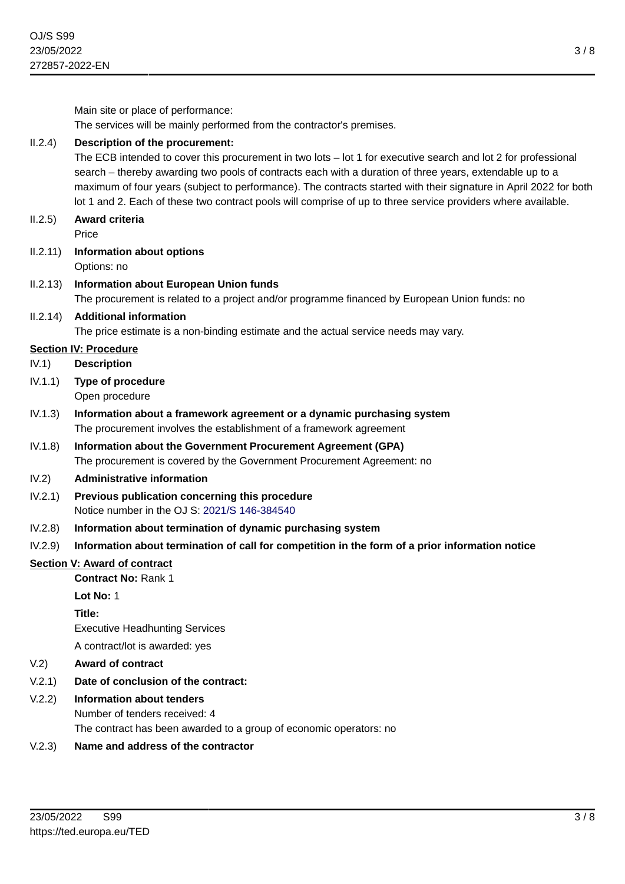Main site or place of performance:

The services will be mainly performed from the contractor's premises.

#### II.2.4) **Description of the procurement:**

The ECB intended to cover this procurement in two lots – lot 1 for executive search and lot 2 for professional search – thereby awarding two pools of contracts each with a duration of three years, extendable up to a maximum of four years (subject to performance). The contracts started with their signature in April 2022 for both lot 1 and 2. Each of these two contract pools will comprise of up to three service providers where available.

- II.2.5) **Award criteria** Price
- II.2.11) **Information about options** Options: no

## II.2.13) **Information about European Union funds** The procurement is related to a project and/or programme financed by European Union funds: no

# II.2.14) **Additional information**

The price estimate is a non-binding estimate and the actual service needs may vary.

#### **Section IV: Procedure**

- IV.1) **Description**
- IV.1.1) **Type of procedure** Open procedure
- IV.1.3) **Information about a framework agreement or a dynamic purchasing system** The procurement involves the establishment of a framework agreement
- IV.1.8) **Information about the Government Procurement Agreement (GPA)** The procurement is covered by the Government Procurement Agreement: no

#### IV.2) **Administrative information**

- IV.2.1) **Previous publication concerning this procedure** Notice number in the OJ S: [2021/S 146-384540](https://ted.europa.eu/udl?uri=TED:NOTICE:384540-2021:TEXT:EN:HTML)
- IV.2.8) **Information about termination of dynamic purchasing system**

## IV.2.9) **Information about termination of call for competition in the form of a prior information notice**

## **Section V: Award of contract**

**Contract No:** Rank 1

**Lot No:** 1

**Title:**

Executive Headhunting Services

A contract/lot is awarded: yes

## V.2) **Award of contract**

V.2.1) **Date of conclusion of the contract:**

## V.2.2) **Information about tenders** Number of tenders received: 4 The contract has been awarded to a group of economic operators: no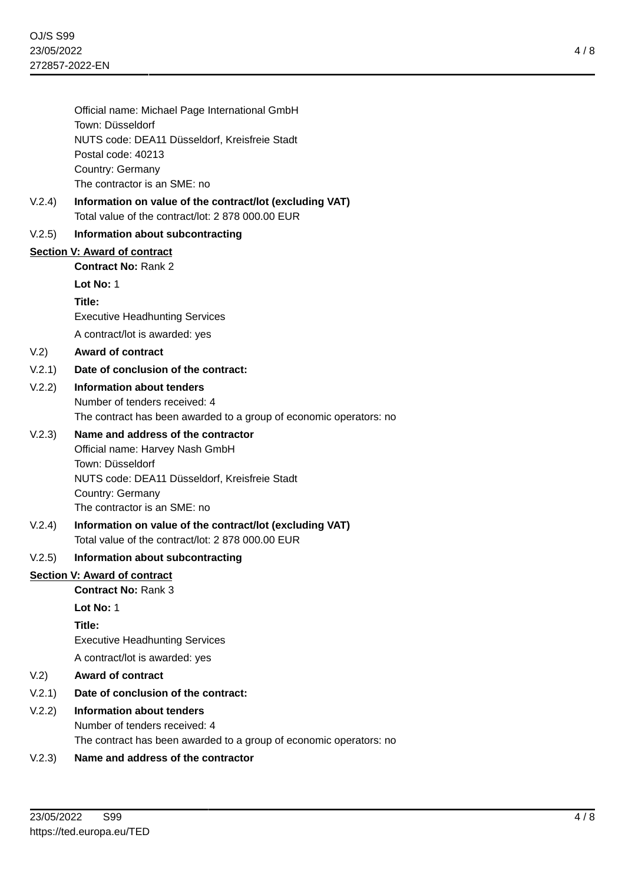Official name: Michael Page International GmbH Town: Düsseldorf NUTS code: DEA11 Düsseldorf, Kreisfreie Stadt Postal code: 40213 Country: Germany The contractor is an SME: no

V.2.4) **Information on value of the contract/lot (excluding VAT)** Total value of the contract/lot: 2 878 000.00 EUR

#### V.2.5) **Information about subcontracting**

#### **Section V: Award of contract**

**Contract No:** Rank 2

**Lot No:** 1

**Title:**

Executive Headhunting Services

A contract/lot is awarded: yes

#### V.2) **Award of contract**

#### V.2.1) **Date of conclusion of the contract:**

V.2.2) **Information about tenders** Number of tenders received: 4 The contract has been awarded to a group of economic operators: no

#### V.2.3) **Name and address of the contractor**

Official name: Harvey Nash GmbH Town: Düsseldorf NUTS code: DEA11 Düsseldorf, Kreisfreie Stadt Country: Germany The contractor is an SME: no

## V.2.4) **Information on value of the contract/lot (excluding VAT)** Total value of the contract/lot: 2 878 000.00 EUR

#### V.2.5) **Information about subcontracting**

#### **Section V: Award of contract**

**Contract No:** Rank 3

**Lot No:** 1

**Title:**

Executive Headhunting Services

A contract/lot is awarded: yes

#### V.2) **Award of contract**

- V.2.1) **Date of conclusion of the contract:**
- V.2.2) **Information about tenders** Number of tenders received: 4 The contract has been awarded to a group of economic operators: no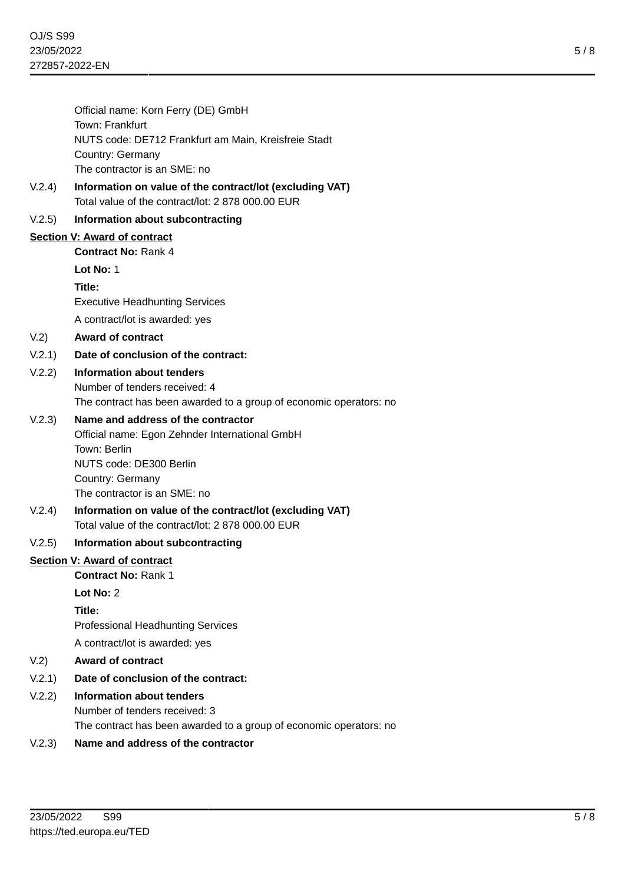Official name: Korn Ferry (DE) GmbH Town: Frankfurt NUTS code: DE712 Frankfurt am Main, Kreisfreie Stadt Country: Germany The contractor is an SME: no

V.2.4) **Information on value of the contract/lot (excluding VAT)** Total value of the contract/lot: 2 878 000.00 EUR

#### V.2.5) **Information about subcontracting**

## **Section V: Award of contract**

**Contract No:** Rank 4

**Lot No:** 1

**Title:**

Executive Headhunting Services

A contract/lot is awarded: yes

#### V.2) **Award of contract**

#### V.2.1) **Date of conclusion of the contract:**

## V.2.2) **Information about tenders**

Number of tenders received: 4 The contract has been awarded to a group of economic operators: no

## V.2.3) **Name and address of the contractor**

Official name: Egon Zehnder International GmbH Town: Berlin NUTS code: DE300 Berlin Country: Germany The contractor is an SME: no

V.2.4) **Information on value of the contract/lot (excluding VAT)** Total value of the contract/lot: 2 878 000.00 EUR

#### V.2.5) **Information about subcontracting**

#### **Section V: Award of contract**

**Contract No:** Rank 1

**Lot No:** 2

**Title:**

Professional Headhunting Services

A contract/lot is awarded: yes

## V.2) **Award of contract**

# V.2.1) **Date of conclusion of the contract:**

# V.2.2) **Information about tenders**

Number of tenders received: 3

The contract has been awarded to a group of economic operators: no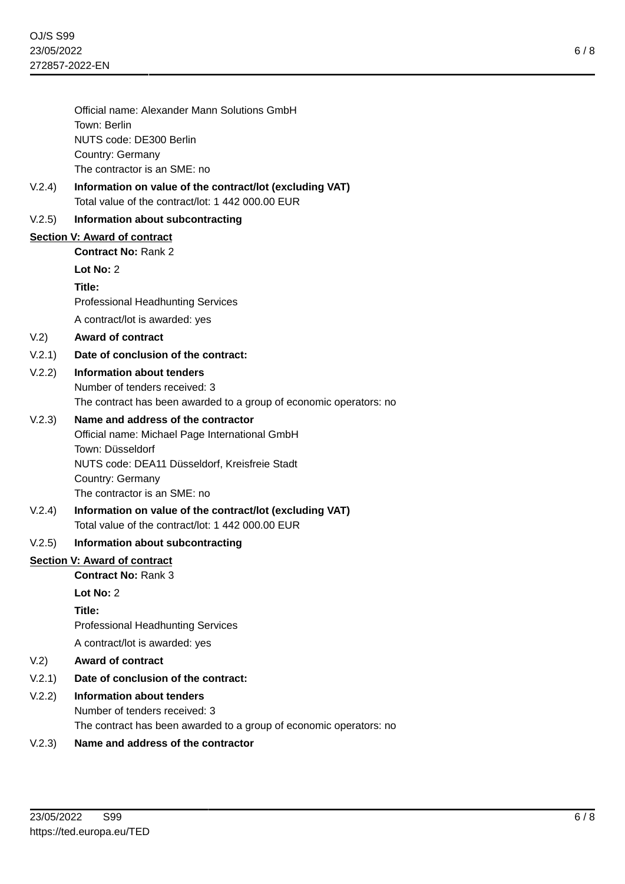Official name: Alexander Mann Solutions GmbH Town: Berlin NUTS code: DE300 Berlin Country: Germany The contractor is an SME: no V.2.4) **Information on value of the contract/lot (excluding VAT)** Total value of the contract/lot: 1 442 000.00 EUR V.2.5) **Information about subcontracting Section V: Award of contract Contract No:** Rank 2 **Lot No:** 2 **Title:** Professional Headhunting Services A contract/lot is awarded: yes V.2) **Award of contract** V.2.1) **Date of conclusion of the contract:** V.2.2) **Information about tenders** Number of tenders received: 3 The contract has been awarded to a group of economic operators: no V.2.3) **Name and address of the contractor** Official name: Michael Page International GmbH Town: Düsseldorf NUTS code: DEA11 Düsseldorf, Kreisfreie Stadt Country: Germany The contractor is an SME: no V.2.4) **Information on value of the contract/lot (excluding VAT)** Total value of the contract/lot: 1 442 000.00 EUR V.2.5) **Information about subcontracting Section V: Award of contract Contract No:** Rank 3 **Lot No:** 2 **Title:** Professional Headhunting Services A contract/lot is awarded: yes V.2) **Award of contract** V.2.1) **Date of conclusion of the contract:** V.2.2) **Information about tenders**

Number of tenders received: 3 The contract has been awarded to a group of economic operators: no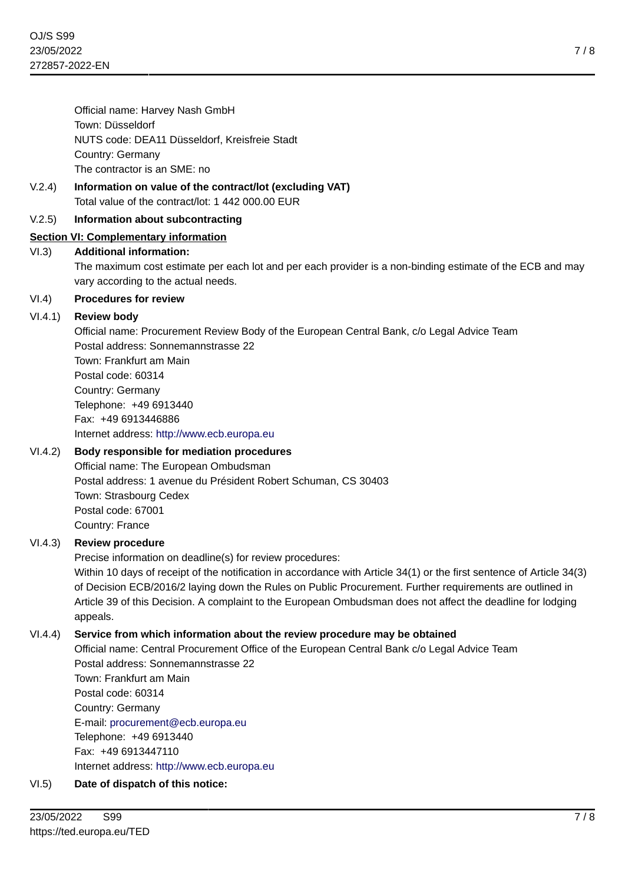Official name: Harvey Nash GmbH Town: Düsseldorf NUTS code: DEA11 Düsseldorf, Kreisfreie Stadt Country: Germany The contractor is an SME: no

V.2.4) **Information on value of the contract/lot (excluding VAT)** Total value of the contract/lot: 1 442 000.00 EUR

## V.2.5) **Information about subcontracting**

## **Section VI: Complementary information**

#### VI.3) **Additional information:**

The maximum cost estimate per each lot and per each provider is a non-binding estimate of the ECB and may vary according to the actual needs.

#### VI.4) **Procedures for review**

## VI.4.1) **Review body**

Official name: Procurement Review Body of the European Central Bank, c/o Legal Advice Team Postal address: Sonnemannstrasse 22 Town: Frankfurt am Main Postal code: 60314 Country: Germany Telephone: +49 6913440 Fax: +49 6913446886 Internet address: <http://www.ecb.europa.eu>

## VI.4.2) **Body responsible for mediation procedures**

Official name: The European Ombudsman Postal address: 1 avenue du Président Robert Schuman, CS 30403 Town: Strasbourg Cedex Postal code: 67001 Country: France

## VI.4.3) **Review procedure**

Precise information on deadline(s) for review procedures:

Within 10 days of receipt of the notification in accordance with Article 34(1) or the first sentence of Article 34(3) of Decision ECB/2016/2 laying down the Rules on Public Procurement. Further requirements are outlined in Article 39 of this Decision. A complaint to the European Ombudsman does not affect the deadline for lodging appeals.

## VI.4.4) **Service from which information about the review procedure may be obtained**

Official name: Central Procurement Office of the European Central Bank c/o Legal Advice Team Postal address: Sonnemannstrasse 22 Town: Frankfurt am Main Postal code: 60314 Country: Germany E-mail: [procurement@ecb.europa.eu](mailto:procurement@ecb.europa.eu) Telephone: +49 6913440 Fax: +49 6913447110 Internet address: <http://www.ecb.europa.eu>

## VI.5) **Date of dispatch of this notice:**